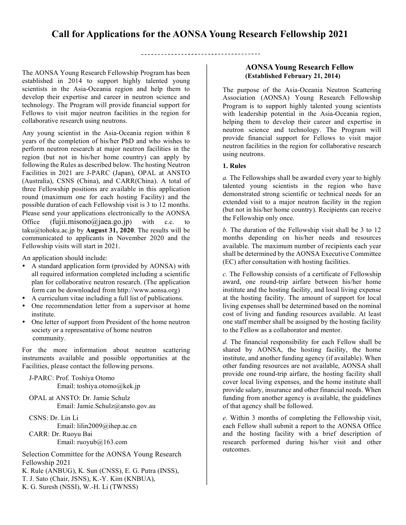# **Call for Applications for the AONSA Young Research Fellowship 2021**

The AONSA Young Research Fellowship Program has been established in 2014 to support highly talented young scientists in the Asia-Oceania region and help them to develop their expertise and career in neutron science and technology. The Program will provide financial support for Fellows to visit major neutron facilities in the region for collaborative research using neutrons.

Any young scientist in the Asia-Oceania region within 8 years of the completion of his/her PhD and who wishes to perform neutron research at major neutron facilities in the region (but not in his/her home country) can apply by following the Rules as described below. The hosting Neutron Facilities in 2021 are J-PARC (Japan), OPAL at ANSTO (Australia), CSNS (China), and CARR(China). A total of three Fellowship positions are available in this application round (maximum one for each hosting Facility) and the possible duration of each Fellowship visit is 3 to 12 months. Please send your applications electronically to the AONSA Office  $(fuji.misono@jaea.google.jp)$  with c.c. to taku@tohoku.ac.jp by **August 31, 2020**. The results will be communicated to applicants in November 2020 and the Fellowship visits will start in 2021.

An application should include:

- A standard application form (provided by AONSA) with all required information completed including a scientific plan for collaborative neutron research. (The application form can be downloaded from http://www.aonsa.org)
- A curriculum vitae including a full list of publications.
- One recommendation letter from a supervisor at home institute.
- One letter of support from President of the home neutron society or a representative of home neutron community.

For the more information about neutron scattering instruments available and possible opportunities at the Facilities, please contact the following persons.

J-PARC: Prof. Toshiya Otomo Email: toshiya.otomo@kek.jp

 OPAL at ANSTO: Dr. Jamie Schulz Email: Jamie.Schulz@ansto.gov.au

CSNS: Dr. Lin Li Email: lilin2009@ihep.ac.cn CARR: Dr. Ruoyu Bai Email: ruoyub@163.com

Selection Committee for the AONSA Young Research Fellowship 2021 K. Rule (ANBUG), K. Sun (CNSS), E. G. Putra (INSS),

- T. J. Sato (Chair, JSNS), K.-Y. Kim (KNBUA),
- K. G. Suresh (NSSI), W.-H. Li (TWNSS)

# **AONSA Young Research Fellow**

The purpose of the Asia-Oceania Neutron Scattering Association (AONSA) Young Research Fellowship Program is to support highly talented young scientists with leadership potential in the Asia-Oceania region, helping them to develop their career and expertise in neutron science and technology. The Program will provide financial support for Fellows to visit major neutron facilities in the region for collaborative research using neutrons.

#### **1. Rules**

*a.* The Fellowships shall be awarded every year to highly talented young scientists in the region who have demonstrated strong scientific or technical needs for an extended visit to a major neutron facility in the region (but not in his/her home country). Recipients can receive the Fellowship only once.

*b.* The duration of the Fellowship visit shall be 3 to 12 months depending on his/her needs and resources available. The maximum number of recipients each year shall be determined by the AONSA Executive Committee (EC) after consultation with hosting facilities.

*c.* The Fellowship consists of a certificate of Fellowship award, one round-trip airfare between his/her home institute and the hosting facility, and local living expense at the hosting facility. The amount of support for local living expenses shall be determined based on the nominal cost of living and funding resources available. At least one staff member shall be assigned by the hosting facility to the Fellow as a collaborator and mentor.

*d.* The financial responsibility for each Fellow shall be shared by AONSA, the hosting facility, the home institute, and another funding agency (if available). When other funding resources are not available, AONSA shall provide one round-trip airfare, the hosting facility shall cover local living expenses, and the home institute shall provide salary, insurance and other financial needs. When funding from another agency is available, the guidelines of that agency shall be followed.

*e*. Within 3 months of completing the Fellowship visit, each Fellow shall submit a report to the AONSA Office and the hosting facility with a brief description of research performed during his/her visit and other outcomes.